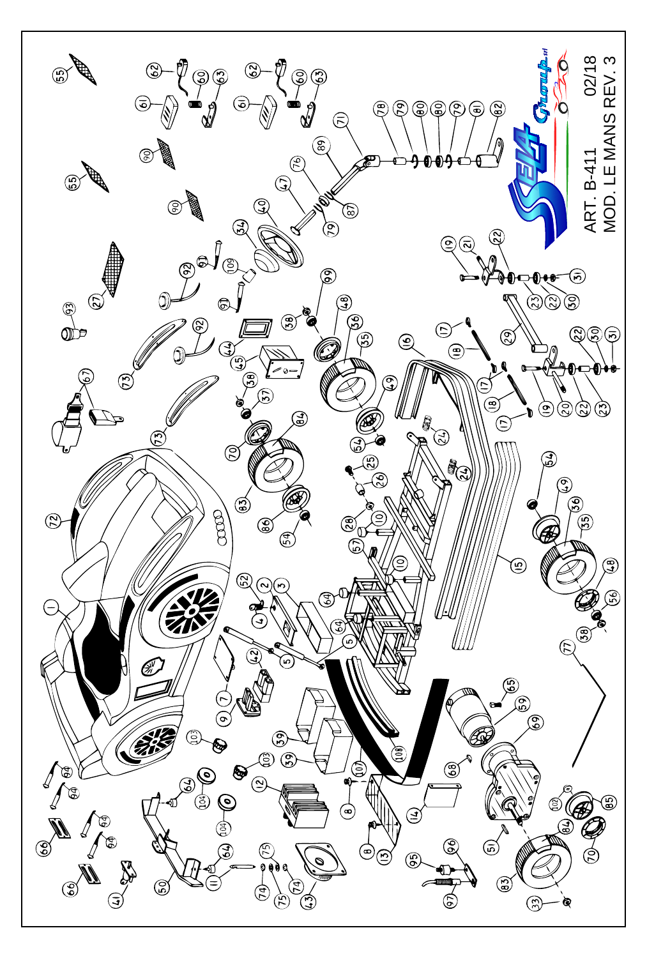